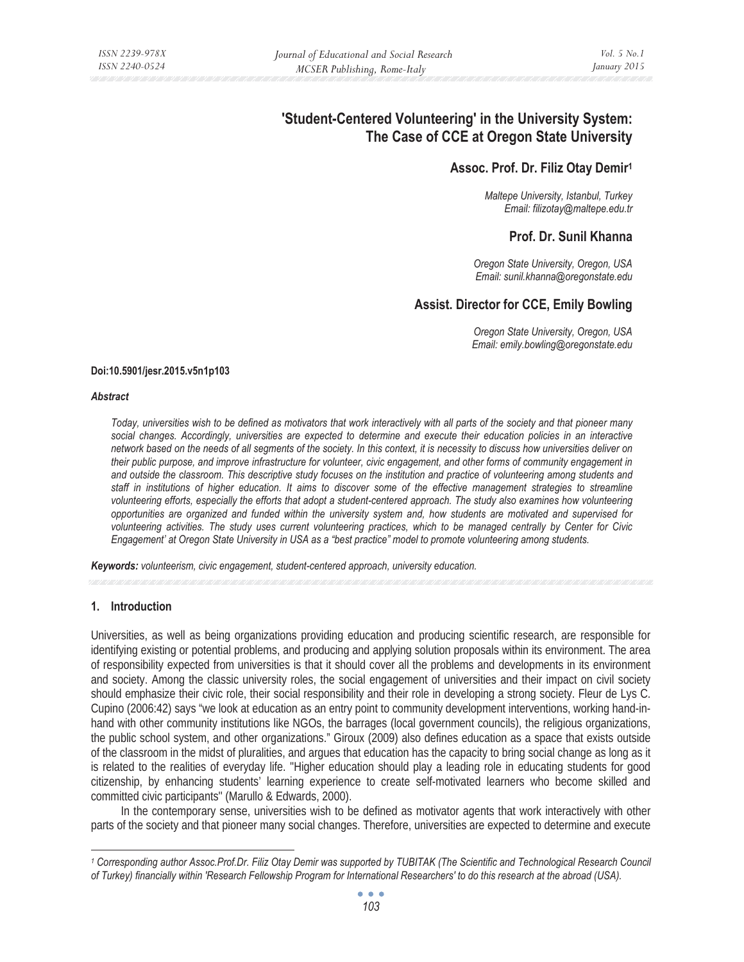# **'Student-Centered Volunteering' in the University System: The Case of CCE at Oregon State University**

## **Assoc. Prof. Dr. Filiz Otay Demir1**

*Maltepe University, Istanbul, Turkey Email: filizotay@maltepe.edu.tr* 

# **Prof. Dr. Sunil Khanna**

*Oregon State University, Oregon, USA Email: sunil.khanna@oregonstate.edu* 

# **Assist. Director for CCE, Emily Bowling**

*Oregon State University, Oregon, USA Email: emily.bowling@oregonstate.edu* 

#### **Doi:10.5901/jesr.2015.v5n1p103**

#### *Abstract*

*Today, universities wish to be defined as motivators that work interactively with all parts of the society and that pioneer many*  social changes. Accordingly, universities are expected to determine and execute their education policies in an interactive *network based on the needs of all segments of the society. In this context, it is necessity to discuss how universities deliver on their public purpose, and improve infrastructure for volunteer, civic engagement, and other forms of community engagement in and outside the classroom. This descriptive study focuses on the institution and practice of volunteering among students and*  staff in institutions of higher education. It aims to discover some of the effective management strategies to streamline *volunteering efforts, especially the efforts that adopt a student-centered approach. The study also examines how volunteering opportunities are organized and funded within the university system and, how students are motivated and supervised for volunteering activities. The study uses current volunteering practices, which to be managed centrally by Center for Civic Engagement' at Oregon State University in USA as a "best practice" model to promote volunteering among students.* 

*Keywords: volunteerism, civic engagement, student-centered approach, university education.* 

## **1. Introduction**

Universities, as well as being organizations providing education and producing scientific research, are responsible for identifying existing or potential problems, and producing and applying solution proposals within its environment. The area of responsibility expected from universities is that it should cover all the problems and developments in its environment and society. Among the classic university roles, the social engagement of universities and their impact on civil society should emphasize their civic role, their social responsibility and their role in developing a strong society. Fleur de Lys C. Cupino (2006:42) says "we look at education as an entry point to community development interventions, working hand-inhand with other community institutions like NGOs, the barrages (local government councils), the religious organizations, the public school system, and other organizations." Giroux (2009) also defines education as a space that exists outside of the classroom in the midst of pluralities, and argues that education has the capacity to bring social change as long as it is related to the realities of everyday life. ''Higher education should play a leading role in educating students for good citizenship, by enhancing students' learning experience to create self-motivated learners who become skilled and committed civic participants'' (Marullo & Edwards, 2000).

In the contemporary sense, universities wish to be defined as motivator agents that work interactively with other parts of the society and that pioneer many social changes. Therefore, universities are expected to determine and execute

*<sup>1</sup> Corresponding author Assoc.Prof.Dr. Filiz Otay Demir was supported by TUBITAK (The Scientific and Technological Research Council of Turkey) financially within 'Research Fellowship Program for International Researchers' to do this research at the abroad (USA).*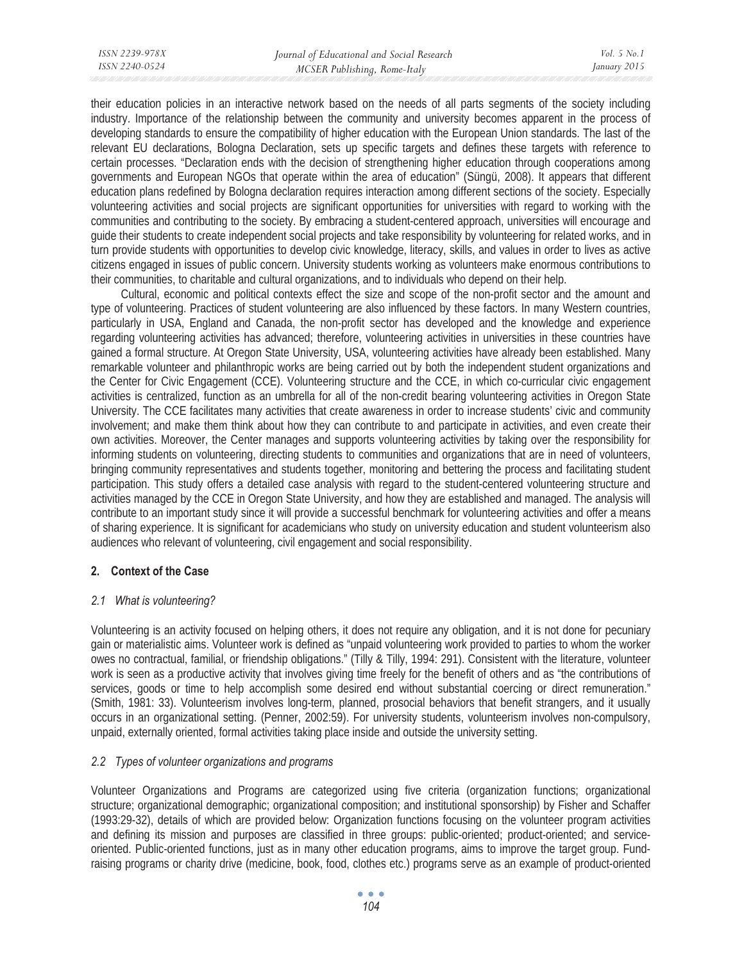their education policies in an interactive network based on the needs of all parts segments of the society including industry. Importance of the relationship between the community and university becomes apparent in the process of developing standards to ensure the compatibility of higher education with the European Union standards. The last of the relevant EU declarations, Bologna Declaration, sets up specific targets and defines these targets with reference to certain processes. "Declaration ends with the decision of strengthening higher education through cooperations among governments and European NGOs that operate within the area of education" (Süngü, 2008). It appears that different education plans redefined by Bologna declaration requires interaction among different sections of the society. Especially volunteering activities and social projects are significant opportunities for universities with regard to working with the communities and contributing to the society. By embracing a student-centered approach, universities will encourage and guide their students to create independent social projects and take responsibility by volunteering for related works, and in turn provide students with opportunities to develop civic knowledge, literacy, skills, and values in order to lives as active citizens engaged in issues of public concern. University students working as volunteers make enormous contributions to their communities, to charitable and cultural organizations, and to individuals who depend on their help.

Cultural, economic and political contexts effect the size and scope of the non-profit sector and the amount and type of volunteering. Practices of student volunteering are also influenced by these factors. In many Western countries, particularly in USA, England and Canada, the non-profit sector has developed and the knowledge and experience regarding volunteering activities has advanced; therefore, volunteering activities in universities in these countries have gained a formal structure. At Oregon State University, USA, volunteering activities have already been established. Many remarkable volunteer and philanthropic works are being carried out by both the independent student organizations and the Center for Civic Engagement (CCE). Volunteering structure and the CCE, in which co-curricular civic engagement activities is centralized, function as an umbrella for all of the non-credit bearing volunteering activities in Oregon State University. The CCE facilitates many activities that create awareness in order to increase students' civic and community involvement; and make them think about how they can contribute to and participate in activities, and even create their own activities. Moreover, the Center manages and supports volunteering activities by taking over the responsibility for informing students on volunteering, directing students to communities and organizations that are in need of volunteers, bringing community representatives and students together, monitoring and bettering the process and facilitating student participation. This study offers a detailed case analysis with regard to the student-centered volunteering structure and activities managed by the CCE in Oregon State University, and how they are established and managed. The analysis will contribute to an important study since it will provide a successful benchmark for volunteering activities and offer a means of sharing experience. It is significant for academicians who study on university education and student volunteerism also audiences who relevant of volunteering, civil engagement and social responsibility.

# **2. Context of the Case**

# *2.1 What is volunteering?*

Volunteering is an activity focused on helping others, it does not require any obligation, and it is not done for pecuniary gain or materialistic aims. Volunteer work is defined as "unpaid volunteering work provided to parties to whom the worker owes no contractual, familial, or friendship obligations." (Tilly & Tilly, 1994: 291). Consistent with the literature, volunteer work is seen as a productive activity that involves giving time freely for the benefit of others and as "the contributions of services, goods or time to help accomplish some desired end without substantial coercing or direct remuneration." (Smith, 1981: 33). Volunteerism involves long-term, planned, prosocial behaviors that benefit strangers, and it usually occurs in an organizational setting. (Penner, 2002:59). For university students, volunteerism involves non-compulsory, unpaid, externally oriented, formal activities taking place inside and outside the university setting.

# *2.2 Types of volunteer organizations and programs*

Volunteer Organizations and Programs are categorized using five criteria (organization functions; organizational structure; organizational demographic; organizational composition; and institutional sponsorship) by Fisher and Schaffer (1993:29-32), details of which are provided below: Organization functions focusing on the volunteer program activities and defining its mission and purposes are classified in three groups: public-oriented; product-oriented; and serviceoriented. Public-oriented functions, just as in many other education programs, aims to improve the target group. Fundraising programs or charity drive (medicine, book, food, clothes etc.) programs serve as an example of product-oriented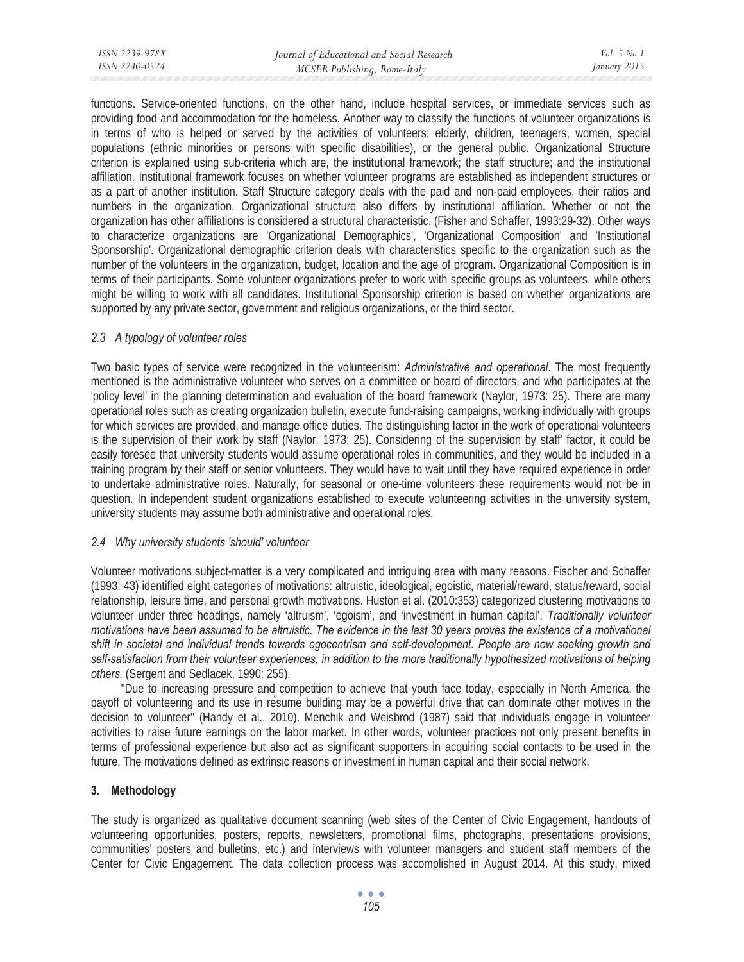| ISSN 2239-978X | Journal of Educational and Social Research | <i>Vol.</i> 5 $No.$ 1 |
|----------------|--------------------------------------------|-----------------------|
| ISSN 2240-0524 | MCSER Publishing, Rome-Italy               | January 2015          |
|                |                                            |                       |

functions. Service-oriented functions, on the other hand, include hospital services, or immediate services such as providing food and accommodation for the homeless. Another way to classify the functions of volunteer organizations is in terms of who is helped or served by the activities of volunteers: elderly, children, teenagers, women, special populations (ethnic minorities or persons with specific disabilities), or the general public. Organizational Structure criterion is explained using sub-criteria which are, the institutional framework; the staff structure; and the institutional affiliation. Institutional framework focuses on whether volunteer programs are established as independent structures or as a part of another institution. Staff Structure category deals with the paid and non-paid employees, their ratios and numbers in the organization. Organizational structure also differs by institutional affiliation. Whether or not the organization has other affiliations is considered a structural characteristic. (Fisher and Schaffer, 1993:29-32). Other ways to characterize organizations are 'Organizational Demographics', 'Organizational Composition' and 'Institutional Sponsorship'. Organizational demographic criterion deals with characteristics specific to the organization such as the number of the volunteers in the organization, budget, location and the age of program. Organizational Composition is in terms of their participants. Some volunteer organizations prefer to work with specific groups as volunteers, while others might be willing to work with all candidates. Institutional Sponsorship criterion is based on whether organizations are supported by any private sector, government and religious organizations, or the third sector.

## *2.3 A typology of volunteer roles*

Two basic types of service were recognized in the volunteerism: *Administrative and operational*. The most frequently mentioned is the administrative volunteer who serves on a committee or board of directors, and who participates at the 'policy level' in the planning determination and evaluation of the board framework (Naylor, 1973: 25). There are many operational roles such as creating organization bulletin, execute fund-raising campaigns, working individually with groups for which services are provided, and manage office duties. The distinguishing factor in the work of operational volunteers is the supervision of their work by staff (Naylor, 1973: 25). Considering of the supervision by staff' factor, it could be easily foresee that university students would assume operational roles in communities, and they would be included in a training program by their staff or senior volunteers. They would have to wait until they have required experience in order to undertake administrative roles. Naturally, for seasonal or one-time volunteers these requirements would not be in question. In independent student organizations established to execute volunteering activities in the university system, university students may assume both administrative and operational roles.

## *2.4 Why university students 'should' volunteer*

Volunteer motivations subject-matter is a very complicated and intriguing area with many reasons. Fischer and Schaffer (1993: 43) identified eight categories of motivations: altruistic, ideological, egoistic, material/reward, status/reward, social relationship, leisure time, and personal growth motivations. Huston et al. (2010:353) categorized clustering motivations to volunteer under three headings, namely 'altruism', 'egoism', and 'investment in human capital'. *Traditionally volunteer motivations have been assumed to be altruistic. The evidence in the last 30 years proves the existence of a motivational shift in societal and individual trends towards egocentrism and self-development. People are now seeking growth and self-satisfaction from their volunteer experiences, in addition to the more traditionally hypothesized motivations of helping others.* (Sergent and Sedlacek, 1990: 255).

''Due to increasing pressure and competition to achieve that youth face today, especially in North America, the payoff of volunteering and its use in resume building may be a powerful drive that can dominate other motives in the decision to volunteer'' (Handy et al., 2010). Menchik and Weisbrod (1987) said that individuals engage in volunteer activities to raise future earnings on the labor market. In other words, volunteer practices not only present benefits in terms of professional experience but also act as significant supporters in acquiring social contacts to be used in the future. The motivations defined as extrinsic reasons or investment in human capital and their social network.

## **3. Methodology**

The study is organized as qualitative document scanning (web sites of the Center of Civic Engagement, handouts of volunteering opportunities, posters, reports, newsletters, promotional films, photographs, presentations provisions, communities' posters and bulletins, etc.) and interviews with volunteer managers and student staff members of the Center for Civic Engagement. The data collection process was accomplished in August 2014. At this study, mixed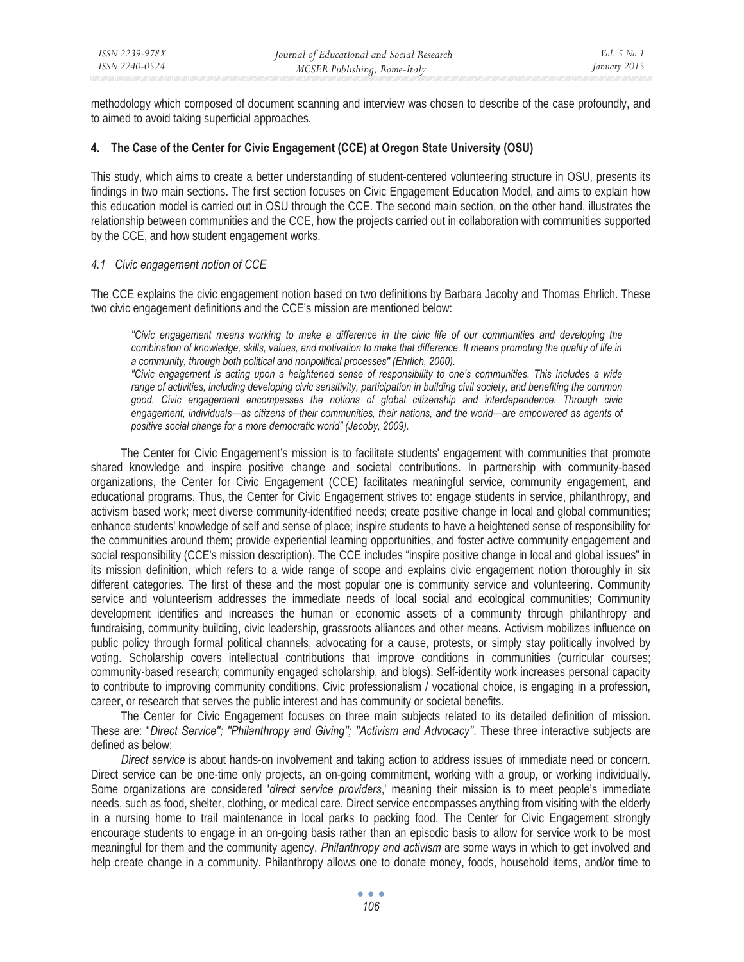methodology which composed of document scanning and interview was chosen to describe of the case profoundly, and to aimed to avoid taking superficial approaches.

## **4. The Case of the Center for Civic Engagement (CCE) at Oregon State University (OSU)**

This study, which aims to create a better understanding of student-centered volunteering structure in OSU, presents its findings in two main sections. The first section focuses on Civic Engagement Education Model, and aims to explain how this education model is carried out in OSU through the CCE. The second main section, on the other hand, illustrates the relationship between communities and the CCE, how the projects carried out in collaboration with communities supported by the CCE, and how student engagement works.

## *4.1 Civic engagement notion of CCE*

The CCE explains the civic engagement notion based on two definitions by Barbara Jacoby and Thomas Ehrlich. These two civic engagement definitions and the CCE's mission are mentioned below:

*''Civic engagement means working to make a difference in the civic life of our communities and developing the combination of knowledge, skills, values, and motivation to make that difference. It means promoting the quality of life in a community, through both political and nonpolitical processes'' (Ehrlich, 2000). "Civic engagement is acting upon a heightened sense of responsibility to one's communities. This includes a wide range of activities, including developing civic sensitivity, participation in building civil society, and benefiting the common*

*good. Civic engagement encompasses the notions of global citizenship and interdependence. Through civic engagement, individuals—as citizens of their communities, their nations, and the world—are empowered as agents of positive social change for a more democratic world" (Jacoby, 2009).* 

The Center for Civic Engagement's mission is to facilitate students' engagement with communities that promote shared knowledge and inspire positive change and societal contributions. In partnership with community-based organizations, the Center for Civic Engagement (CCE) facilitates meaningful service, community engagement, and educational programs. Thus, the Center for Civic Engagement strives to: engage students in service, philanthropy, and activism based work; meet diverse community-identified needs; create positive change in local and global communities; enhance students' knowledge of self and sense of place; inspire students to have a heightened sense of responsibility for the communities around them; provide experiential learning opportunities, and foster active community engagement and social responsibility (CCE's mission description). The CCE includes "inspire positive change in local and global issues" in its mission definition, which refers to a wide range of scope and explains civic engagement notion thoroughly in six different categories. The first of these and the most popular one is community service and volunteering. Community service and volunteerism addresses the immediate needs of local social and ecological communities; Community development identifies and increases the human or economic assets of a community through philanthropy and fundraising, community building, civic leadership, grassroots alliances and other means. Activism mobilizes influence on public policy through formal political channels, advocating for a cause, protests, or simply stay politically involved by voting. Scholarship covers intellectual contributions that improve conditions in communities (curricular courses; community-based research; community engaged scholarship, and blogs). Self-identity work increases personal capacity to contribute to improving community conditions. Civic professionalism / vocational choice, is engaging in a profession, career, or research that serves the public interest and has community or societal benefits.

The Center for Civic Engagement focuses on three main subjects related to its detailed definition of mission. These are: ''*Direct Service''; ''Philanthropy and Giving''; ''Activism and Advocacy''*. These three interactive subjects are defined as below:

*Direct service* is about hands-on involvement and taking action to address issues of immediate need or concern. Direct service can be one-time only projects, an on-going commitment, working with a group, or working individually. Some organizations are considered '*direct service providers*,' meaning their mission is to meet people's immediate needs, such as food, shelter, clothing, or medical care. Direct service encompasses anything from visiting with the elderly in a nursing home to trail maintenance in local parks to packing food. The Center for Civic Engagement strongly encourage students to engage in an on-going basis rather than an episodic basis to allow for service work to be most meaningful for them and the community agency. *Philanthropy and activism* are some ways in which to get involved and help create change in a community. Philanthropy allows one to donate money, foods, household items, and/or time to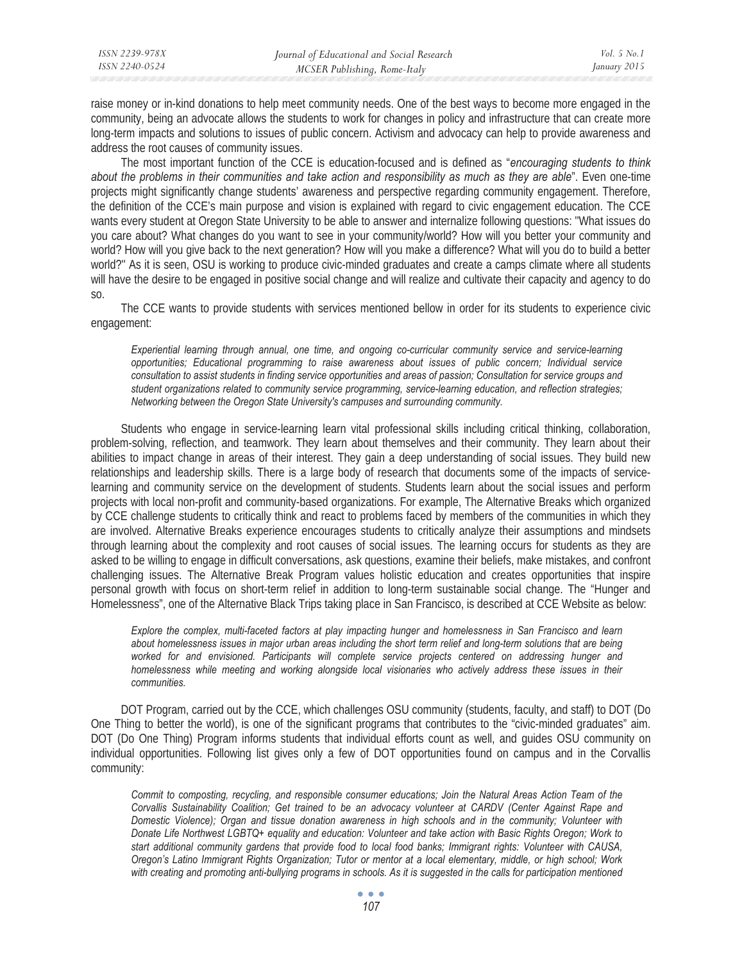| ISSN 2239-978X | Journal of Educational and Social Research | <i>Vol.</i> 5 No. 1 |
|----------------|--------------------------------------------|---------------------|
| ISSN 2240-0524 | MCSER Publishing, Rome-Italy               | January 2015        |
|                |                                            |                     |

raise money or in-kind donations to help meet community needs. One of the best ways to become more engaged in the community, being an advocate allows the students to work for changes in policy and infrastructure that can create more long-term impacts and solutions to issues of public concern. Activism and advocacy can help to provide awareness and address the root causes of community issues.

The most important function of the CCE is education-focused and is defined as "*encouraging students to think about the problems in their communities and take action and responsibility as much as they are able*". Even one-time projects might significantly change students' awareness and perspective regarding community engagement. Therefore, the definition of the CCE's main purpose and vision is explained with regard to civic engagement education. The CCE wants every student at Oregon State University to be able to answer and internalize following questions: ''What issues do you care about? What changes do you want to see in your community/world? How will you better your community and world? How will you give back to the next generation? How will you make a difference? What will you do to build a better world?'' As it is seen, OSU is working to produce civic-minded graduates and create a camps climate where all students will have the desire to be engaged in positive social change and will realize and cultivate their capacity and agency to do so.

The CCE wants to provide students with services mentioned bellow in order for its students to experience civic engagement:

*Experiential learning through annual, one time, and ongoing co-curricular community service and service-learning opportunities; Educational programming to raise awareness about issues of public concern; Individual service consultation to assist students in finding service opportunities and areas of passion; Consultation for service groups and student organizations related to community service programming, service-learning education, and reflection strategies; Networking between the Oregon State University's campuses and surrounding community.* 

Students who engage in service-learning learn vital professional skills including critical thinking, collaboration, problem-solving, reflection, and teamwork. They learn about themselves and their community. They learn about their abilities to impact change in areas of their interest. They gain a deep understanding of social issues. They build new relationships and leadership skills. There is a large body of research that documents some of the impacts of servicelearning and community service on the development of students. Students learn about the social issues and perform projects with local non-profit and community-based organizations. For example, The Alternative Breaks which organized by CCE challenge students to critically think and react to problems faced by members of the communities in which they are involved. Alternative Breaks experience encourages students to critically analyze their assumptions and mindsets through learning about the complexity and root causes of social issues. The learning occurs for students as they are asked to be willing to engage in difficult conversations, ask questions, examine their beliefs, make mistakes, and confront challenging issues. The Alternative Break Program values holistic education and creates opportunities that inspire personal growth with focus on short-term relief in addition to long-term sustainable social change. The "Hunger and Homelessness", one of the Alternative Black Trips taking place in San Francisco, is described at CCE Website as below:

*Explore the complex, multi-faceted factors at play impacting hunger and homelessness in San Francisco and learn about homelessness issues in major urban areas including the short term relief and long-term solutions that are being*  worked for and envisioned. Participants will complete service projects centered on addressing hunger and *homelessness while meeting and working alongside local visionaries who actively address these issues in their communities.* 

DOT Program, carried out by the CCE, which challenges OSU community (students, faculty, and staff) to DOT (Do One Thing to better the world), is one of the significant programs that contributes to the "civic-minded graduates" aim. DOT (Do One Thing) Program informs students that individual efforts count as well, and guides OSU community on individual opportunities. Following list gives only a few of DOT opportunities found on campus and in the Corvallis community:

*Commit to composting, recycling, and responsible consumer educations; Join the Natural Areas Action Team of the Corvallis Sustainability Coalition; Get trained to be an advocacy volunteer at CARDV (Center Against Rape and Domestic Violence); Organ and tissue donation awareness in high schools and in the community; Volunteer with Donate Life Northwest LGBTQ+ equality and education: Volunteer and take action with Basic Rights Oregon; Work to start additional community gardens that provide food to local food banks; Immigrant rights: Volunteer with CAUSA, Oregon's Latino Immigrant Rights Organization; Tutor or mentor at a local elementary, middle, or high school; Work*  with creating and promoting anti-bullying programs in schools. As it is suggested in the calls for participation mentioned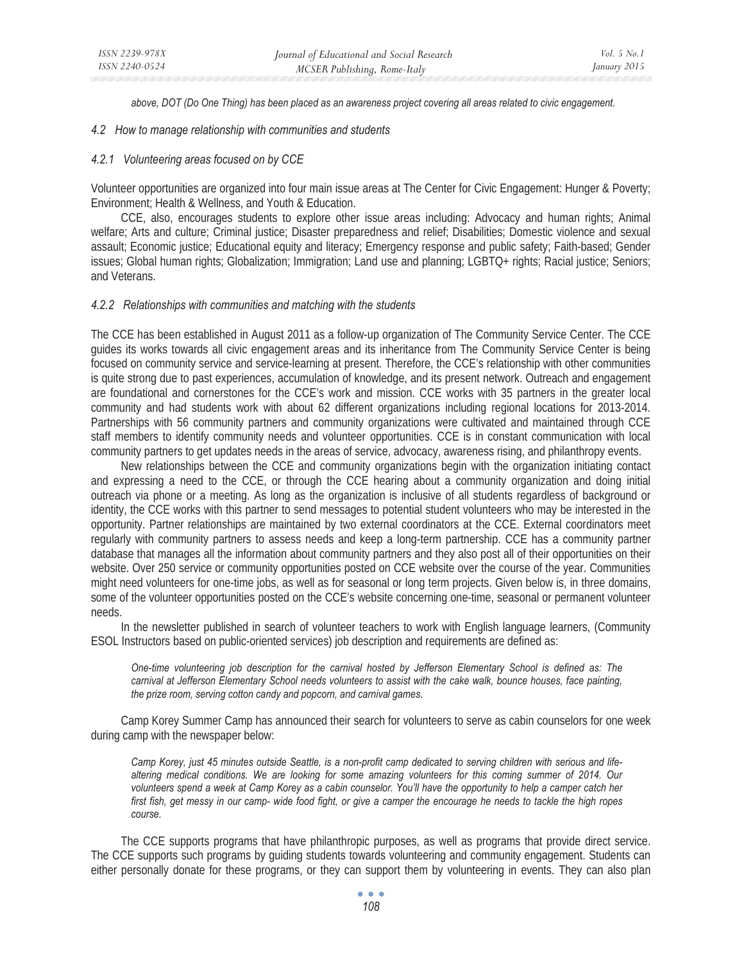*above, DOT (Do One Thing) has been placed as an awareness project covering all areas related to civic engagement.* 

#### *4.2 How to manage relationship with communities and students*

#### *4.2.1 Volunteering areas focused on by CCE*

Volunteer opportunities are organized into four main issue areas at The Center for Civic Engagement: Hunger & Poverty; Environment; Health & Wellness, and Youth & Education.

CCE, also, encourages students to explore other issue areas including: Advocacy and human rights; Animal welfare; Arts and culture; Criminal justice; Disaster preparedness and relief; Disabilities; Domestic violence and sexual assault; Economic justice; Educational equity and literacy; Emergency response and public safety; Faith-based; Gender issues; Global human rights; Globalization; Immigration; Land use and planning; LGBTQ+ rights; Racial justice; Seniors; and Veterans.

#### *4.2.2 Relationships with communities and matching with the students*

The CCE has been established in August 2011 as a follow-up organization of The Community Service Center. The CCE guides its works towards all civic engagement areas and its inheritance from The Community Service Center is being focused on community service and service-learning at present. Therefore, the CCE's relationship with other communities is quite strong due to past experiences, accumulation of knowledge, and its present network. Outreach and engagement are foundational and cornerstones for the CCE's work and mission. CCE works with 35 partners in the greater local community and had students work with about 62 different organizations including regional locations for 2013-2014. Partnerships with 56 community partners and community organizations were cultivated and maintained through CCE staff members to identify community needs and volunteer opportunities. CCE is in constant communication with local community partners to get updates needs in the areas of service, advocacy, awareness rising, and philanthropy events.

New relationships between the CCE and community organizations begin with the organization initiating contact and expressing a need to the CCE, or through the CCE hearing about a community organization and doing initial outreach via phone or a meeting. As long as the organization is inclusive of all students regardless of background or identity, the CCE works with this partner to send messages to potential student volunteers who may be interested in the opportunity. Partner relationships are maintained by two external coordinators at the CCE. External coordinators meet regularly with community partners to assess needs and keep a long-term partnership. CCE has a community partner database that manages all the information about community partners and they also post all of their opportunities on their website. Over 250 service or community opportunities posted on CCE website over the course of the year. Communities might need volunteers for one-time jobs, as well as for seasonal or long term projects. Given below is, in three domains, some of the volunteer opportunities posted on the CCE's website concerning one-time, seasonal or permanent volunteer needs.

In the newsletter published in search of volunteer teachers to work with English language learners, (Community ESOL Instructors based on public-oriented services) job description and requirements are defined as:

*One-time volunteering job description for the carnival hosted by Jefferson Elementary School is defined as: The*  carnival at Jefferson Elementary School needs volunteers to assist with the cake walk, bounce houses, face painting, *the prize room, serving cotton candy and popcorn, and carnival games.* 

Camp Korey Summer Camp has announced their search for volunteers to serve as cabin counselors for one week during camp with the newspaper below:

*Camp Korey, just 45 minutes outside Seattle, is a non-profit camp dedicated to serving children with serious and lifealtering medical conditions. We are looking for some amazing volunteers for this coming summer of 2014. Our volunteers spend a week at Camp Korey as a cabin counselor. You'll have the opportunity to help a camper catch her first fish, get messy in our camp- wide food fight, or give a camper the encourage he needs to tackle the high ropes course.* 

The CCE supports programs that have philanthropic purposes, as well as programs that provide direct service. The CCE supports such programs by guiding students towards volunteering and community engagement. Students can either personally donate for these programs, or they can support them by volunteering in events. They can also plan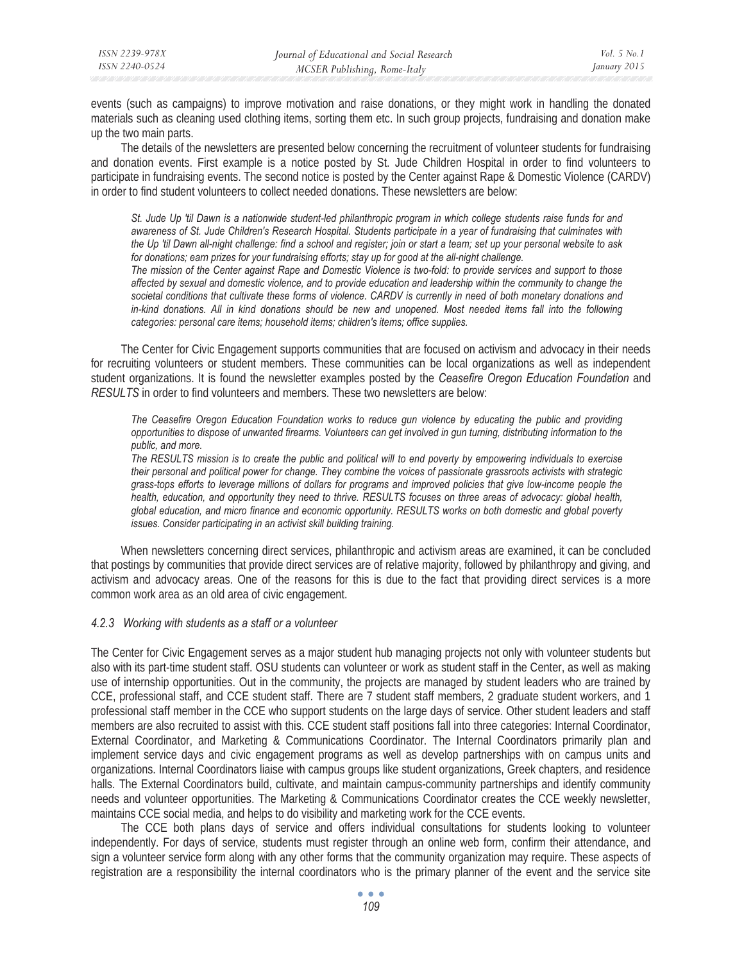events (such as campaigns) to improve motivation and raise donations, or they might work in handling the donated materials such as cleaning used clothing items, sorting them etc. In such group projects, fundraising and donation make up the two main parts.

The details of the newsletters are presented below concerning the recruitment of volunteer students for fundraising and donation events. First example is a notice posted by St. Jude Children Hospital in order to find volunteers to participate in fundraising events. The second notice is posted by the Center against Rape & Domestic Violence (CARDV) in order to find student volunteers to collect needed donations. These newsletters are below:

*St. Jude Up 'til Dawn is a nationwide student-led philanthropic program in which college students raise funds for and awareness of St. Jude Children's Research Hospital. Students participate in a year of fundraising that culminates with the Up 'til Dawn all-night challenge: find a school and register; join or start a team; set up your personal website to ask for donations; earn prizes for your fundraising efforts; stay up for good at the all-night challenge.* 

*The mission of the Center against Rape and Domestic Violence is two-fold: to provide services and support to those affected by sexual and domestic violence, and to provide education and leadership within the community to change the societal conditions that cultivate these forms of violence. CARDV is currently in need of both monetary donations and in-kind donations. All in kind donations should be new and unopened. Most needed items fall into the following categories: personal care items; household items; children's items; office supplies.* 

The Center for Civic Engagement supports communities that are focused on activism and advocacy in their needs for recruiting volunteers or student members. These communities can be local organizations as well as independent student organizations. It is found the newsletter examples posted by the *Ceasefire Oregon Education Foundation* and *RESULTS* in order to find volunteers and members. These two newsletters are below:

*The Ceasefire Oregon Education Foundation works to reduce gun violence by educating the public and providing opportunities to dispose of unwanted firearms. Volunteers can get involved in gun turning, distributing information to the public, and more.* 

*The RESULTS mission is to create the public and political will to end poverty by empowering individuals to exercise their personal and political power for change. They combine the voices of passionate grassroots activists with strategic grass-tops efforts to leverage millions of dollars for programs and improved policies that give low-income people the health, education, and opportunity they need to thrive. RESULTS focuses on three areas of advocacy: global health, global education, and micro finance and economic opportunity. RESULTS works on both domestic and global poverty issues. Consider participating in an activist skill building training.* 

When newsletters concerning direct services, philanthropic and activism areas are examined, it can be concluded that postings by communities that provide direct services are of relative majority, followed by philanthropy and giving, and activism and advocacy areas. One of the reasons for this is due to the fact that providing direct services is a more common work area as an old area of civic engagement.

## *4.2.3 Working with students as a staff or a volunteer*

The Center for Civic Engagement serves as a major student hub managing projects not only with volunteer students but also with its part-time student staff. OSU students can volunteer or work as student staff in the Center, as well as making use of internship opportunities. Out in the community, the projects are managed by student leaders who are trained by CCE, professional staff, and CCE student staff. There are 7 student staff members, 2 graduate student workers, and 1 professional staff member in the CCE who support students on the large days of service. Other student leaders and staff members are also recruited to assist with this. CCE student staff positions fall into three categories: Internal Coordinator, External Coordinator, and Marketing & Communications Coordinator. The Internal Coordinators primarily plan and implement service days and civic engagement programs as well as develop partnerships with on campus units and organizations. Internal Coordinators liaise with campus groups like student organizations, Greek chapters, and residence halls. The External Coordinators build, cultivate, and maintain campus-community partnerships and identify community needs and volunteer opportunities. The Marketing & Communications Coordinator creates the CCE weekly newsletter, maintains CCE social media, and helps to do visibility and marketing work for the CCE events.

The CCE both plans days of service and offers individual consultations for students looking to volunteer independently. For days of service, students must register through an online web form, confirm their attendance, and sign a volunteer service form along with any other forms that the community organization may require. These aspects of registration are a responsibility the internal coordinators who is the primary planner of the event and the service site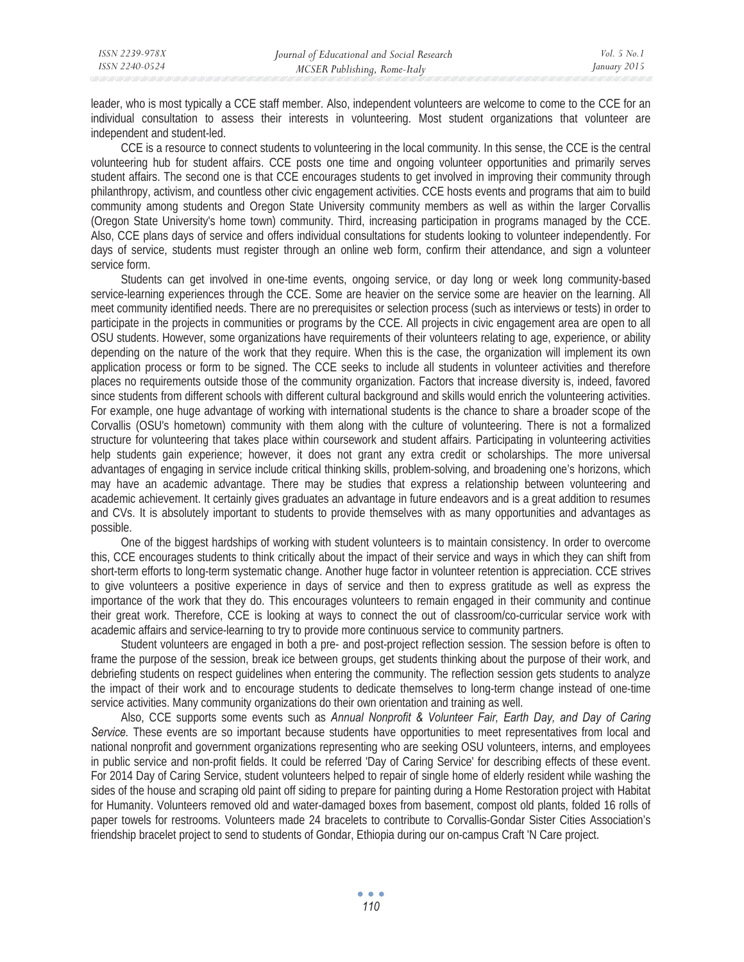leader, who is most typically a CCE staff member. Also, independent volunteers are welcome to come to the CCE for an individual consultation to assess their interests in volunteering. Most student organizations that volunteer are independent and student-led.

CCE is a resource to connect students to volunteering in the local community. In this sense, the CCE is the central volunteering hub for student affairs. CCE posts one time and ongoing volunteer opportunities and primarily serves student affairs. The second one is that CCE encourages students to get involved in improving their community through philanthropy, activism, and countless other civic engagement activities. CCE hosts events and programs that aim to build community among students and Oregon State University community members as well as within the larger Corvallis (Oregon State University's home town) community. Third, increasing participation in programs managed by the CCE. Also, CCE plans days of service and offers individual consultations for students looking to volunteer independently. For days of service, students must register through an online web form, confirm their attendance, and sign a volunteer service form.

Students can get involved in one-time events, ongoing service, or day long or week long community-based service-learning experiences through the CCE. Some are heavier on the service some are heavier on the learning. All meet community identified needs. There are no prerequisites or selection process (such as interviews or tests) in order to participate in the projects in communities or programs by the CCE. All projects in civic engagement area are open to all OSU students. However, some organizations have requirements of their volunteers relating to age, experience, or ability depending on the nature of the work that they require. When this is the case, the organization will implement its own application process or form to be signed. The CCE seeks to include all students in volunteer activities and therefore places no requirements outside those of the community organization. Factors that increase diversity is, indeed, favored since students from different schools with different cultural background and skills would enrich the volunteering activities. For example, one huge advantage of working with international students is the chance to share a broader scope of the Corvallis (OSU's hometown) community with them along with the culture of volunteering. There is not a formalized structure for volunteering that takes place within coursework and student affairs. Participating in volunteering activities help students gain experience; however, it does not grant any extra credit or scholarships. The more universal advantages of engaging in service include critical thinking skills, problem-solving, and broadening one's horizons, which may have an academic advantage. There may be studies that express a relationship between volunteering and academic achievement. It certainly gives graduates an advantage in future endeavors and is a great addition to resumes and CVs. It is absolutely important to students to provide themselves with as many opportunities and advantages as possible.

One of the biggest hardships of working with student volunteers is to maintain consistency. In order to overcome this, CCE encourages students to think critically about the impact of their service and ways in which they can shift from short-term efforts to long-term systematic change. Another huge factor in volunteer retention is appreciation. CCE strives to give volunteers a positive experience in days of service and then to express gratitude as well as express the importance of the work that they do. This encourages volunteers to remain engaged in their community and continue their great work. Therefore, CCE is looking at ways to connect the out of classroom/co-curricular service work with academic affairs and service-learning to try to provide more continuous service to community partners.

Student volunteers are engaged in both a pre- and post-project reflection session. The session before is often to frame the purpose of the session, break ice between groups, get students thinking about the purpose of their work, and debriefing students on respect guidelines when entering the community. The reflection session gets students to analyze the impact of their work and to encourage students to dedicate themselves to long-term change instead of one-time service activities. Many community organizations do their own orientation and training as well.

Also, CCE supports some events such as *Annual Nonprofit & Volunteer Fair, Earth Day, and Day of Caring Service.* These events are so important because students have opportunities to meet representatives from local and national nonprofit and government organizations representing who are seeking OSU volunteers, interns, and employees in public service and non-profit fields. It could be referred 'Day of Caring Service' for describing effects of these event. For 2014 Day of Caring Service, student volunteers helped to repair of single home of elderly resident while washing the sides of the house and scraping old paint off siding to prepare for painting during a Home Restoration project with Habitat for Humanity. Volunteers removed old and water-damaged boxes from basement, compost old plants, folded 16 rolls of paper towels for restrooms. Volunteers made 24 bracelets to contribute to Corvallis-Gondar Sister Cities Association's friendship bracelet project to send to students of Gondar, Ethiopia during our on-campus Craft 'N Care project.